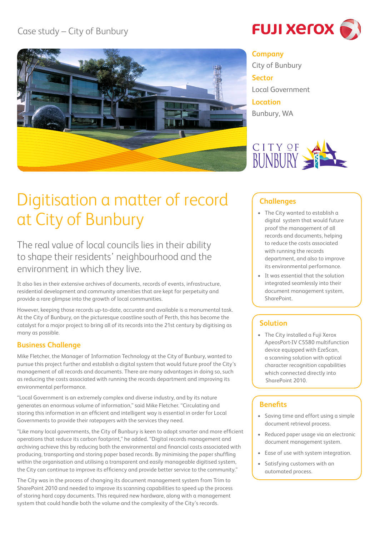

**FUJI XETOX** 

# **Company**

City of Bunbury **Sector** Local Government **Location** Bunbury, WA



# Digitisation a matter of record at City of Bunbury

The real value of local councils lies in their ability to shape their residents' neighbourhood and the environment in which they live.

It also lies in their extensive archives of documents, records of events, infrastructure, residential development and community amenities that are kept for perpetuity and provide a rare glimpse into the growth of local communities.

However, keeping those records up-to-date, accurate and available is a monumental task. At the City of Bunbury, on the picturesque coastline south of Perth, this has become the catalyst for a major project to bring all of its records into the 21st century by digitising as many as possible.

# **Business Challenge**

Mike Fletcher, the Manager of Information Technology at the City of Bunbury, wanted to pursue this project further and establish a digital system that would future proof the City's management of all records and documents. There are many advantages in doing so, such as reducing the costs associated with running the records department and improving its environmental performance.

"Local Government is an extremely complex and diverse industry, and by its nature generates an enormous volume of information," said Mike Fletcher. "Circulating and storing this information in an efficient and intelligent way is essential in order for Local Governments to provide their ratepayers with the services they need.

"Like many local governments, the City of Bunbury is keen to adopt smarter and more efficient operations that reduce its carbon footprint," he added. "Digital records management and archiving achieve this by reducing both the environmental and financial costs associated with producing, transporting and storing paper based records. By minimising the paper shuffling within the organisation and utilising a transparent and easily manageable digitised system, the City can continue to improve its efficiency and provide better service to the community."

The City was in the process of changing its document management system from Trim to SharePoint 2010 and needed to improve its scanning capabilities to speed up the process of storing hard copy documents. This required new hardware, along with a management system that could handle both the volume and the complexity of the City's records.

## **Challenges**

- • The City wanted to establish a digital system that would future proof the management of all records and documents, helping to reduce the costs associated with running the records department, and also to improve its environmental performance.
- • It was essential that the solution integrated seamlessly into their document management system, **SharePoint**

# **Solution**

• The City installed a Fuji Xerox ApeosPort-IV C5580 multifunction device equipped with EzeScan, a scanning solution with optical character recognition capabilities which connected directly into SharePoint 2010.

# **Benefits**

- • Saving time and effort using a simple document retrieval process.
- • Reduced paper usage via an electronic document management system.
- • Ease of use with system integration.
- Satisfying customers with an automated process.